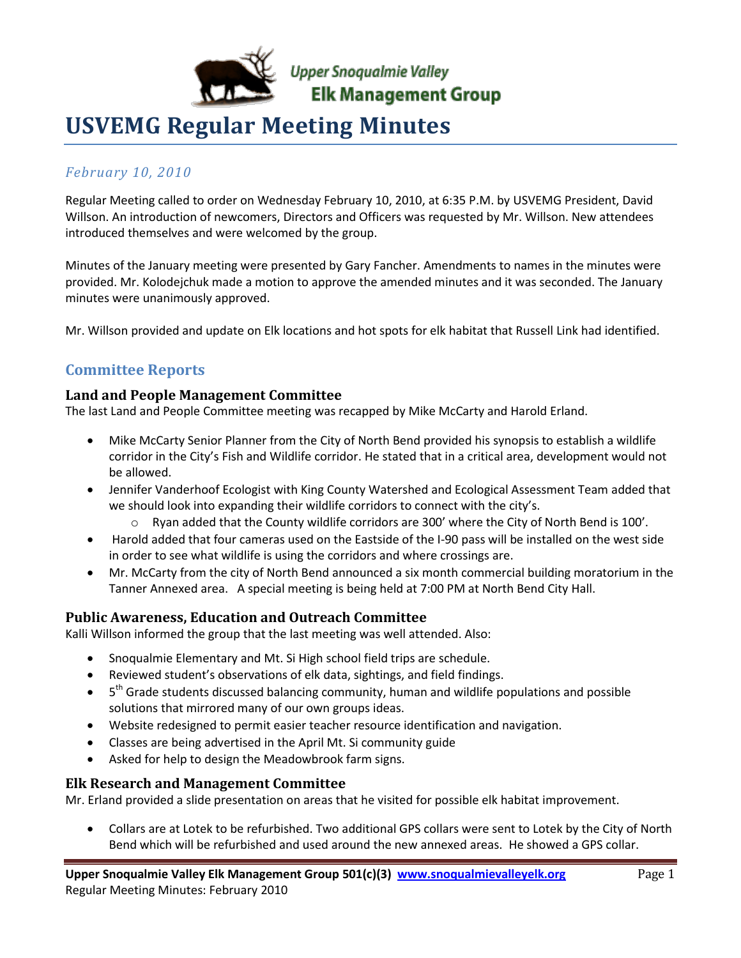

# **USVEMG Regular Meeting Minutes**

## *February 10, 2010*

Regular Meeting called to order on Wednesday February 10, 2010, at 6:35 P.M. by USVEMG President, David Willson. An introduction of newcomers, Directors and Officers was requested by Mr. Willson. New attendees introduced themselves and were welcomed by the group.

Minutes of the January meeting were presented by Gary Fancher. Amendments to names in the minutes were provided. Mr. Kolodejchuk made a motion to approve the amended minutes and it was seconded. The January minutes were unanimously approved.

Mr. Willson provided and update on Elk locations and hot spots for elk habitat that Russell Link had identified.

# **Committee Reports**

### **Land and People Management Committee**

The last Land and People Committee meeting was recapped by Mike McCarty and Harold Erland.

- Mike McCarty Senior Planner from the City of North Bend provided his synopsis to establish a wildlife corridor in the City's Fish and Wildlife corridor. He stated that in a critical area, development would not be allowed.
- Jennifer Vanderhoof Ecologist with King County Watershed and Ecological Assessment Team added that we should look into expanding their wildlife corridors to connect with the city's.
	- $\circ$  Ryan added that the County wildlife corridors are 300' where the City of North Bend is 100'.
- Harold added that four cameras used on the Eastside of the I-90 pass will be installed on the west side in order to see what wildlife is using the corridors and where crossings are.
- Mr. McCarty from the city of North Bend announced a six month commercial building moratorium in the Tanner Annexed area. A special meeting is being held at 7:00 PM at North Bend City Hall.

### **Public Awareness, Education and Outreach Committee**

Kalli Willson informed the group that the last meeting was well attended. Also:

- Snoqualmie Elementary and Mt. Si High school field trips are schedule.
- Reviewed student's observations of elk data, sightings, and field findings.
- $\bullet$  5<sup>th</sup> Grade students discussed balancing community, human and wildlife populations and possible solutions that mirrored many of our own groups ideas.
- Website redesigned to permit easier teacher resource identification and navigation.
- Classes are being advertised in the April Mt. Si community guide
- Asked for help to design the Meadowbrook farm signs.

### **Elk Research and Management Committee**

Mr. Erland provided a slide presentation on areas that he visited for possible elk habitat improvement.

 Collars are at Lotek to be refurbished. Two additional GPS collars were sent to Lotek by the City of North Bend which will be refurbished and used around the new annexed areas. He showed a GPS collar.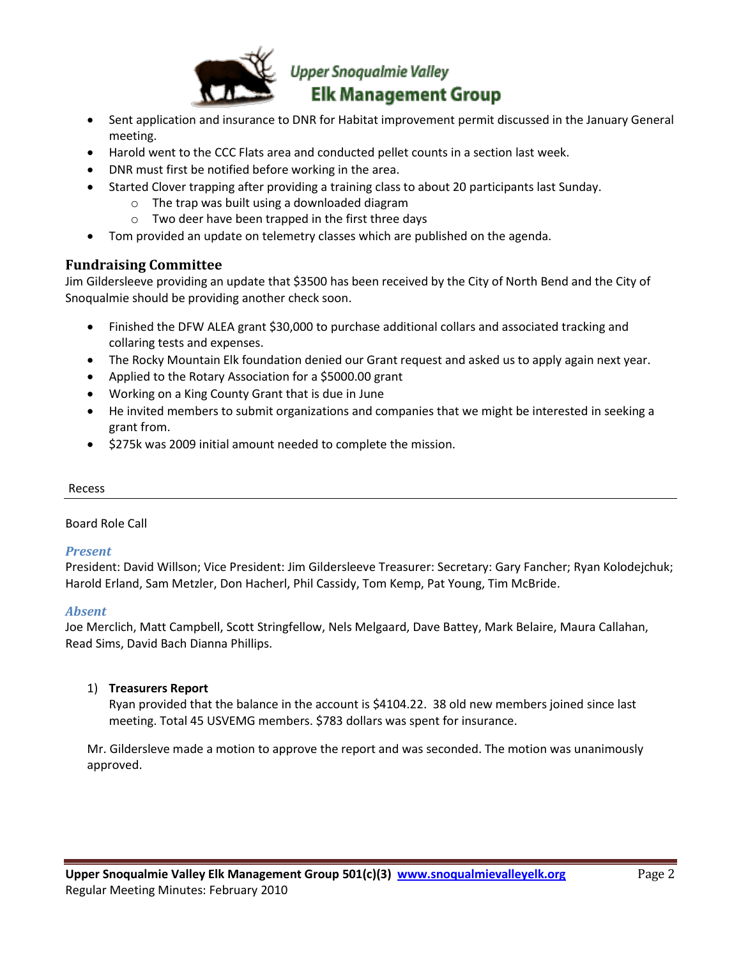

- Sent application and insurance to DNR for Habitat improvement permit discussed in the January General meeting.
- Harold went to the CCC Flats area and conducted pellet counts in a section last week.
- DNR must first be notified before working in the area.
- Started Clover trapping after providing a training class to about 20 participants last Sunday.
	- o The trap was built using a downloaded diagram
	- o Two deer have been trapped in the first three days
- Tom provided an update on telemetry classes which are published on the agenda.

#### **Fundraising Committee**

Jim Gildersleeve providing an update that \$3500 has been received by the City of North Bend and the City of Snoqualmie should be providing another check soon.

- Finished the DFW ALEA grant \$30,000 to purchase additional collars and associated tracking and collaring tests and expenses.
- The Rocky Mountain Elk foundation denied our Grant request and asked us to apply again next year.
- Applied to the Rotary Association for a \$5000.00 grant
- Working on a King County Grant that is due in June
- He invited members to submit organizations and companies that we might be interested in seeking a grant from.
- $\bullet$  \$275k was 2009 initial amount needed to complete the mission.

#### Recess

#### Board Role Call

#### *Present*

President: David Willson; Vice President: Jim Gildersleeve Treasurer: Secretary: Gary Fancher; Ryan Kolodejchuk; Harold Erland, Sam Metzler, Don Hacherl, Phil Cassidy, Tom Kemp, Pat Young, Tim McBride.

#### *Absent*

Joe Merclich, Matt Campbell, Scott Stringfellow, Nels Melgaard, Dave Battey, Mark Belaire, Maura Callahan, Read Sims, David Bach Dianna Phillips.

#### 1) **Treasurers Report**

Ryan provided that the balance in the account is \$4104.22. 38 old new members joined since last meeting. Total 45 USVEMG members. \$783 dollars was spent for insurance.

Mr. Gildersleve made a motion to approve the report and was seconded. The motion was unanimously approved.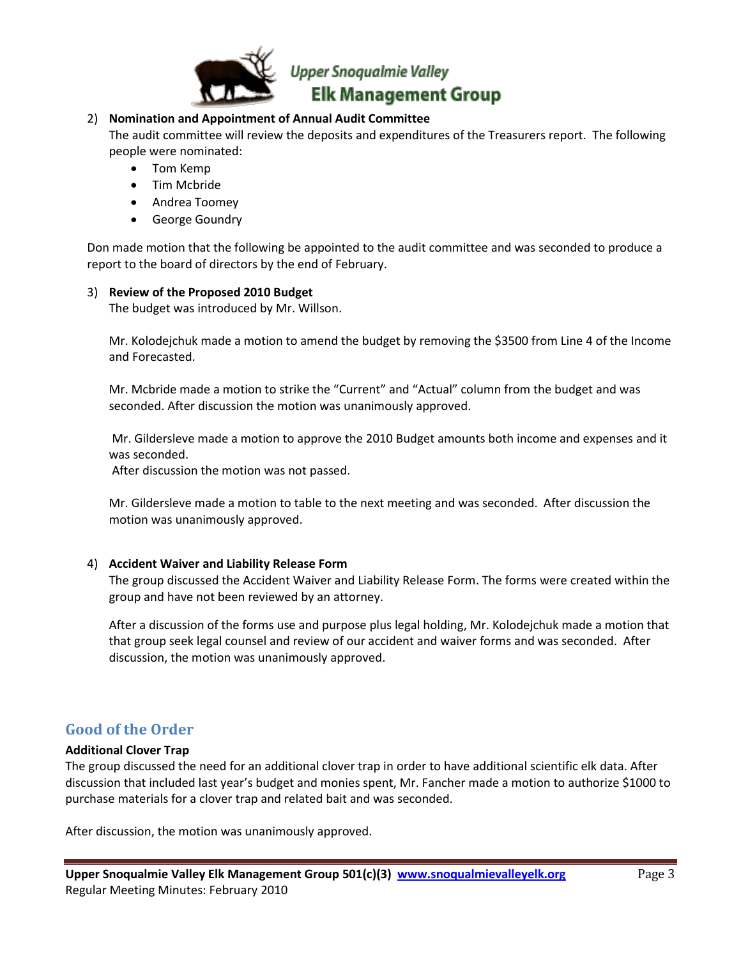

#### 2) **Nomination and Appointment of Annual Audit Committee**

The audit committee will review the deposits and expenditures of the Treasurers report. The following people were nominated:

- Tom Kemp
- Tim Mcbride
- Andrea Toomey
- **•** George Goundry

Don made motion that the following be appointed to the audit committee and was seconded to produce a report to the board of directors by the end of February.

#### 3) **Review of the Proposed 2010 Budget**

The budget was introduced by Mr. Willson.

Mr. Kolodejchuk made a motion to amend the budget by removing the \$3500 from Line 4 of the Income and Forecasted.

Mr. Mcbride made a motion to strike the "Current" and "Actual" column from the budget and was seconded. After discussion the motion was unanimously approved.

Mr. Gildersleve made a motion to approve the 2010 Budget amounts both income and expenses and it was seconded.

After discussion the motion was not passed.

Mr. Gildersleve made a motion to table to the next meeting and was seconded. After discussion the motion was unanimously approved.

#### 4) **Accident Waiver and Liability Release Form**

The group discussed the Accident Waiver and Liability Release Form. The forms were created within the group and have not been reviewed by an attorney.

After a discussion of the forms use and purpose plus legal holding, Mr. Kolodejchuk made a motion that that group seek legal counsel and review of our accident and waiver forms and was seconded. After discussion, the motion was unanimously approved.

#### **Good of the Order**

#### **Additional Clover Trap**

The group discussed the need for an additional clover trap in order to have additional scientific elk data. After discussion that included last year's budget and monies spent, Mr. Fancher made a motion to authorize \$1000 to purchase materials for a clover trap and related bait and was seconded.

After discussion, the motion was unanimously approved.